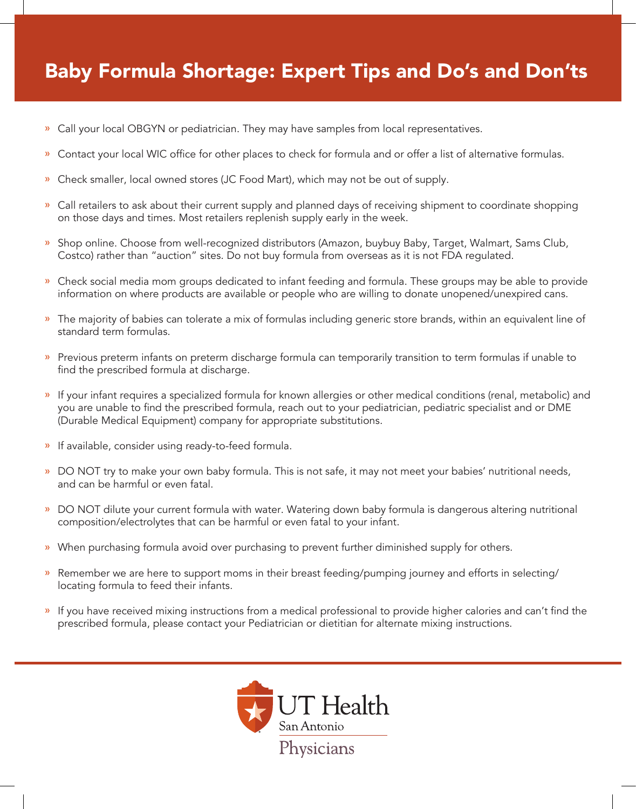## Baby Formula Shortage: Expert Tips and Do's and Don'ts

- » Call your local OBGYN or pediatrician. They may have samples from local representatives.
- » Contact your local WIC office for other places to check for formula and or offer a list of alternative formulas.
- » Check smaller, local owned stores (JC Food Mart), which may not be out of supply.
- » Call retailers to ask about their current supply and planned days of receiving shipment to coordinate shopping on those days and times. Most retailers replenish supply early in the week.
- » Shop online. Choose from well-recognized distributors (Amazon, buybuy Baby, Target, Walmart, Sams Club, Costco) rather than "auction" sites. Do not buy formula from overseas as it is not FDA regulated.
- » Check social media mom groups dedicated to infant feeding and formula. These groups may be able to provide information on where products are available or people who are willing to donate unopened/unexpired cans.
- » The majority of babies can tolerate a mix of formulas including generic store brands, within an equivalent line of standard term formulas.
- » Previous preterm infants on preterm discharge formula can temporarily transition to term formulas if unable to find the prescribed formula at discharge.
- » If your infant requires a specialized formula for known allergies or other medical conditions (renal, metabolic) and you are unable to find the prescribed formula, reach out to your pediatrician, pediatric specialist and or DME (Durable Medical Equipment) company for appropriate substitutions.
- » If available, consider using ready-to-feed formula.
- » DO NOT try to make your own baby formula. This is not safe, it may not meet your babies' nutritional needs, and can be harmful or even fatal.
- » DO NOT dilute your current formula with water. Watering down baby formula is dangerous altering nutritional composition/electrolytes that can be harmful or even fatal to your infant.
- » When purchasing formula avoid over purchasing to prevent further diminished supply for others.
- » Remember we are here to support moms in their breast feeding/pumping journey and efforts in selecting/ locating formula to feed their infants.
- » If you have received mixing instructions from a medical professional to provide higher calories and can't find the prescribed formula, please contact your Pediatrician or dietitian for alternate mixing instructions.